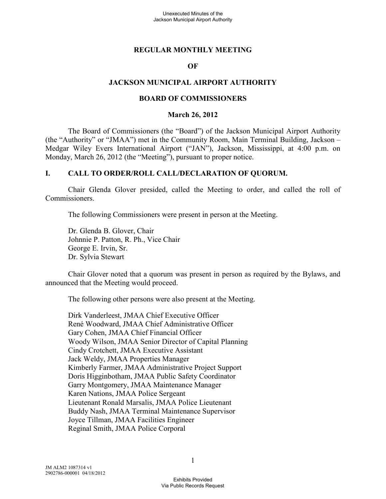### **REGULAR MONTHLY MEETING**

#### **OF**

### **JACKSON MUNICIPAL AIRPORT AUTHORITY**

#### **BOARD OF COMMISSIONERS**

#### **March 26, 2012**

The Board of Commissioners (the "Board") of the Jackson Municipal Airport Authority (the "Authority" or "JMAA") met in the Community Room, Main Terminal Building, Jackson – Medgar Wiley Evers International Airport ("JAN"), Jackson, Mississippi, at 4:00 p.m. on Monday, March 26, 2012 (the "Meeting"), pursuant to proper notice.

### **I. CALL TO ORDER/ROLL CALL/DECLARATION OF QUORUM.**

Chair Glenda Glover presided, called the Meeting to order, and called the roll of Commissioners.

The following Commissioners were present in person at the Meeting.

Dr. Glenda B. Glover, Chair Johnnie P. Patton, R. Ph., Vice Chair George E. Irvin, Sr. Dr. Sylvia Stewart

Chair Glover noted that a quorum was present in person as required by the Bylaws, and announced that the Meeting would proceed.

The following other persons were also present at the Meeting.

Dirk Vanderleest, JMAA Chief Executive Officer René Woodward, JMAA Chief Administrative Officer Gary Cohen, JMAA Chief Financial Officer Woody Wilson, JMAA Senior Director of Capital Planning Cindy Crotchett, JMAA Executive Assistant Jack Weldy, JMAA Properties Manager Kimberly Farmer, JMAA Administrative Project Support Doris Higginbotham, JMAA Public Safety Coordinator Garry Montgomery, JMAA Maintenance Manager Karen Nations, JMAA Police Sergeant Lieutenant Ronald Marsalis, JMAA Police Lieutenant Buddy Nash, JMAA Terminal Maintenance Supervisor Joyce Tillman, JMAA Facilities Engineer Reginal Smith, JMAA Police Corporal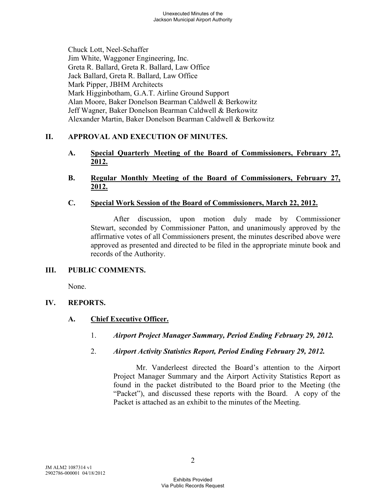Chuck Lott, Neel-Schaffer Jim White, Waggoner Engineering, Inc. Greta R. Ballard, Greta R. Ballard, Law Office Jack Ballard, Greta R. Ballard, Law Office Mark Pipper, JBHM Architects Mark Higginbotham, G.A.T. Airline Ground Support Alan Moore, Baker Donelson Bearman Caldwell & Berkowitz Jeff Wagner, Baker Donelson Bearman Caldwell & Berkowitz Alexander Martin, Baker Donelson Bearman Caldwell & Berkowitz

# **II. APPROVAL AND EXECUTION OF MINUTES.**

- **A. Special Quarterly Meeting of the Board of Commissioners, February 27, 2012.**
- **B. Regular Monthly Meeting of the Board of Commissioners, February 27, 2012.**

# **C. Special Work Session of the Board of Commissioners, March 22, 2012.**

After discussion, upon motion duly made by Commissioner Stewart, seconded by Commissioner Patton, and unanimously approved by the affirmative votes of all Commissioners present, the minutes described above were approved as presented and directed to be filed in the appropriate minute book and records of the Authority.

# **III. PUBLIC COMMENTS.**

None.

# **IV. REPORTS.**

# **A. Chief Executive Officer.**

- 1. *Airport Project Manager Summary, Period Ending February 29, 2012.*
- 2. *Airport Activity Statistics Report, Period Ending February 29, 2012.*

Mr. Vanderleest directed the Board's attention to the Airport Project Manager Summary and the Airport Activity Statistics Report as found in the packet distributed to the Board prior to the Meeting (the "Packet"), and discussed these reports with the Board. A copy of the Packet is attached as an exhibit to the minutes of the Meeting.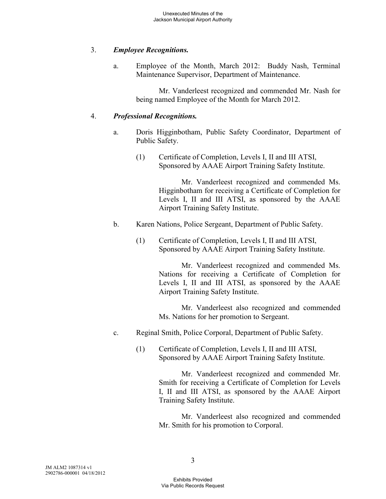# 3. *Employee Recognitions.*

a. Employee of the Month, March 2012: Buddy Nash, Terminal Maintenance Supervisor, Department of Maintenance.

> Mr. Vanderleest recognized and commended Mr. Nash for being named Employee of the Month for March 2012.

### 4. *Professional Recognitions.*

- a. Doris Higginbotham, Public Safety Coordinator, Department of Public Safety.
	- (1) Certificate of Completion, Levels I, II and III ATSI, Sponsored by AAAE Airport Training Safety Institute.

Mr. Vanderleest recognized and commended Ms. Higginbotham for receiving a Certificate of Completion for Levels I, II and III ATSI, as sponsored by the AAAE Airport Training Safety Institute.

- b. Karen Nations, Police Sergeant, Department of Public Safety.
	- (1) Certificate of Completion, Levels I, II and III ATSI, Sponsored by AAAE Airport Training Safety Institute.

Mr. Vanderleest recognized and commended Ms. Nations for receiving a Certificate of Completion for Levels I, II and III ATSI, as sponsored by the AAAE Airport Training Safety Institute.

Mr. Vanderleest also recognized and commended Ms. Nations for her promotion to Sergeant.

- c. Reginal Smith, Police Corporal, Department of Public Safety.
	- (1) Certificate of Completion, Levels I, II and III ATSI, Sponsored by AAAE Airport Training Safety Institute.

Mr. Vanderleest recognized and commended Mr. Smith for receiving a Certificate of Completion for Levels I, II and III ATSI, as sponsored by the AAAE Airport Training Safety Institute.

Mr. Vanderleest also recognized and commended Mr. Smith for his promotion to Corporal.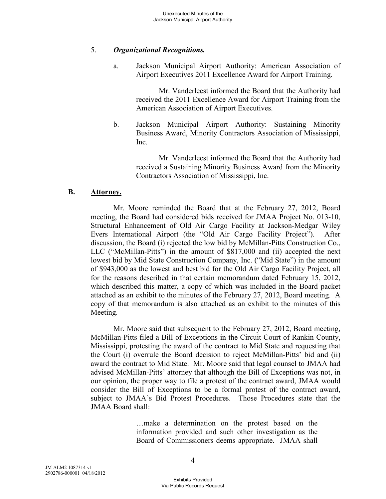#### 5. *Organizational Recognitions.*

a. Jackson Municipal Airport Authority: American Association of Airport Executives 2011 Excellence Award for Airport Training.

> Mr. Vanderleest informed the Board that the Authority had received the 2011 Excellence Award for Airport Training from the American Association of Airport Executives.

b. Jackson Municipal Airport Authority: Sustaining Minority Business Award, Minority Contractors Association of Mississippi, Inc.

Mr. Vanderleest informed the Board that the Authority had received a Sustaining Minority Business Award from the Minority Contractors Association of Mississippi, Inc.

#### **B. Attorney.**

Mr. Moore reminded the Board that at the February 27, 2012, Board meeting, the Board had considered bids received for JMAA Project No. 013-10, Structural Enhancement of Old Air Cargo Facility at Jackson-Medgar Wiley Evers International Airport (the "Old Air Cargo Facility Project"). After discussion, the Board (i) rejected the low bid by McMillan-Pitts Construction Co., LLC ("McMillan-Pitts") in the amount of \$817,000 and (ii) accepted the next lowest bid by Mid State Construction Company, Inc. ("Mid State") in the amount of \$943,000 as the lowest and best bid for the Old Air Cargo Facility Project, all for the reasons described in that certain memorandum dated February 15, 2012, which described this matter, a copy of which was included in the Board packet attached as an exhibit to the minutes of the February 27, 2012, Board meeting. A copy of that memorandum is also attached as an exhibit to the minutes of this Meeting.

Mr. Moore said that subsequent to the February 27, 2012, Board meeting, McMillan-Pitts filed a Bill of Exceptions in the Circuit Court of Rankin County, Mississippi, protesting the award of the contract to Mid State and requesting that the Court (i) overrule the Board decision to reject McMillan-Pitts' bid and (ii) award the contract to Mid State. Mr. Moore said that legal counsel to JMAA had advised McMillan-Pitts' attorney that although the Bill of Exceptions was not, in our opinion, the proper way to file a protest of the contract award, JMAA would consider the Bill of Exceptions to be a formal protest of the contract award, subject to JMAA's Bid Protest Procedures. Those Procedures state that the JMAA Board shall:

> …make a determination on the protest based on the information provided and such other investigation as the Board of Commissioners deems appropriate. JMAA shall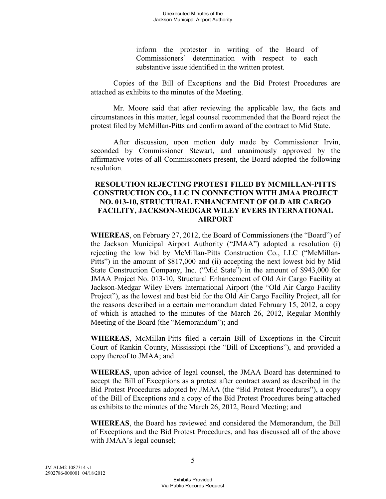inform the protestor in writing of the Board of Commissioners' determination with respect to each substantive issue identified in the written protest.

Copies of the Bill of Exceptions and the Bid Protest Procedures are attached as exhibits to the minutes of the Meeting.

Mr. Moore said that after reviewing the applicable law, the facts and circumstances in this matter, legal counsel recommended that the Board reject the protest filed by McMillan-Pitts and confirm award of the contract to Mid State.

After discussion, upon motion duly made by Commissioner Irvin, seconded by Commissioner Stewart, and unanimously approved by the affirmative votes of all Commissioners present, the Board adopted the following resolution.

### **RESOLUTION REJECTING PROTEST FILED BY MCMILLAN-PITTS CONSTRUCTION CO., LLC IN CONNECTION WITH JMAA PROJECT NO. 013-10, STRUCTURAL ENHANCEMENT OF OLD AIR CARGO FACILITY, JACKSON-MEDGAR WILEY EVERS INTERNATIONAL AIRPORT**

**WHEREAS**, on February 27, 2012, the Board of Commissioners (the "Board") of the Jackson Municipal Airport Authority ("JMAA") adopted a resolution (i) rejecting the low bid by McMillan-Pitts Construction Co., LLC ("McMillan-Pitts") in the amount of \$817,000 and (ii) accepting the next lowest bid by Mid State Construction Company, Inc. ("Mid State") in the amount of \$943,000 for JMAA Project No. 013-10, Structural Enhancement of Old Air Cargo Facility at Jackson-Medgar Wiley Evers International Airport (the "Old Air Cargo Facility Project"), as the lowest and best bid for the Old Air Cargo Facility Project, all for the reasons described in a certain memorandum dated February 15, 2012, a copy of which is attached to the minutes of the March 26, 2012, Regular Monthly Meeting of the Board (the "Memorandum"); and

**WHEREAS**, McMillan-Pitts filed a certain Bill of Exceptions in the Circuit Court of Rankin County, Mississippi (the "Bill of Exceptions"), and provided a copy thereof to JMAA; and

**WHEREAS**, upon advice of legal counsel, the JMAA Board has determined to accept the Bill of Exceptions as a protest after contract award as described in the Bid Protest Procedures adopted by JMAA (the "Bid Protest Procedures"), a copy of the Bill of Exceptions and a copy of the Bid Protest Procedures being attached as exhibits to the minutes of the March 26, 2012, Board Meeting; and

**WHEREAS**, the Board has reviewed and considered the Memorandum, the Bill of Exceptions and the Bid Protest Procedures, and has discussed all of the above with JMAA's legal counsel;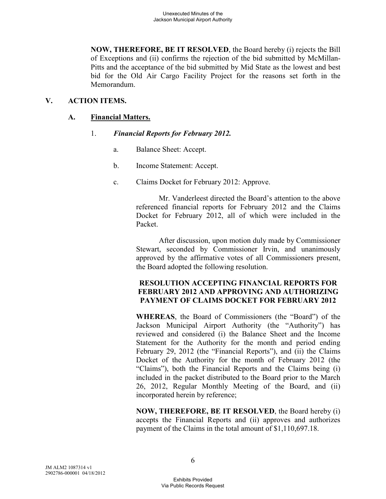**NOW, THEREFORE, BE IT RESOLVED**, the Board hereby (i) rejects the Bill of Exceptions and (ii) confirms the rejection of the bid submitted by McMillan-Pitts and the acceptance of the bid submitted by Mid State as the lowest and best bid for the Old Air Cargo Facility Project for the reasons set forth in the Memorandum.

# **V. ACTION ITEMS.**

# **A. Financial Matters.**

## 1. *Financial Reports for February 2012.*

- a. Balance Sheet: Accept.
- b. Income Statement: Accept.
- c. Claims Docket for February 2012: Approve.

Mr. Vanderleest directed the Board's attention to the above referenced financial reports for February 2012 and the Claims Docket for February 2012, all of which were included in the Packet.

After discussion, upon motion duly made by Commissioner Stewart, seconded by Commissioner Irvin, and unanimously approved by the affirmative votes of all Commissioners present, the Board adopted the following resolution.

## **RESOLUTION ACCEPTING FINANCIAL REPORTS FOR FEBRUARY 2012 AND APPROVING AND AUTHORIZING PAYMENT OF CLAIMS DOCKET FOR FEBRUARY 2012**

**WHEREAS**, the Board of Commissioners (the "Board") of the Jackson Municipal Airport Authority (the "Authority") has reviewed and considered (i) the Balance Sheet and the Income Statement for the Authority for the month and period ending February 29, 2012 (the "Financial Reports"), and (ii) the Claims Docket of the Authority for the month of February 2012 (the "Claims"), both the Financial Reports and the Claims being (i) included in the packet distributed to the Board prior to the March 26, 2012, Regular Monthly Meeting of the Board, and (ii) incorporated herein by reference;

**NOW, THEREFORE, BE IT RESOLVED**, the Board hereby (i) accepts the Financial Reports and (ii) approves and authorizes payment of the Claims in the total amount of \$1,110,697.18.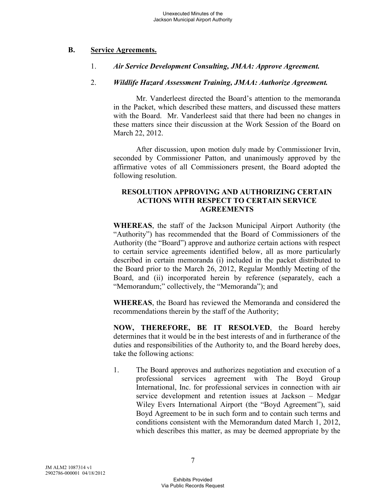### **B. Service Agreements.**

#### 1. *Air Service Development Consulting, JMAA: Approve Agreement.*

#### 2. *Wildlife Hazard Assessment Training, JMAA: Authorize Agreement.*

Mr. Vanderleest directed the Board's attention to the memoranda in the Packet, which described these matters, and discussed these matters with the Board. Mr. Vanderleest said that there had been no changes in these matters since their discussion at the Work Session of the Board on March 22, 2012.

After discussion, upon motion duly made by Commissioner Irvin, seconded by Commissioner Patton, and unanimously approved by the affirmative votes of all Commissioners present, the Board adopted the following resolution.

### **RESOLUTION APPROVING AND AUTHORIZING CERTAIN ACTIONS WITH RESPECT TO CERTAIN SERVICE AGREEMENTS**

**WHEREAS**, the staff of the Jackson Municipal Airport Authority (the "Authority") has recommended that the Board of Commissioners of the Authority (the "Board") approve and authorize certain actions with respect to certain service agreements identified below, all as more particularly described in certain memoranda (i) included in the packet distributed to the Board prior to the March 26, 2012, Regular Monthly Meeting of the Board, and (ii) incorporated herein by reference (separately, each a "Memorandum;" collectively, the "Memoranda"); and

**WHEREAS**, the Board has reviewed the Memoranda and considered the recommendations therein by the staff of the Authority;

**NOW, THEREFORE, BE IT RESOLVED**, the Board hereby determines that it would be in the best interests of and in furtherance of the duties and responsibilities of the Authority to, and the Board hereby does, take the following actions:

1. The Board approves and authorizes negotiation and execution of a professional services agreement with The Boyd Group International, Inc. for professional services in connection with air service development and retention issues at Jackson – Medgar Wiley Evers International Airport (the "Boyd Agreement"), said Boyd Agreement to be in such form and to contain such terms and conditions consistent with the Memorandum dated March 1, 2012, which describes this matter, as may be deemed appropriate by the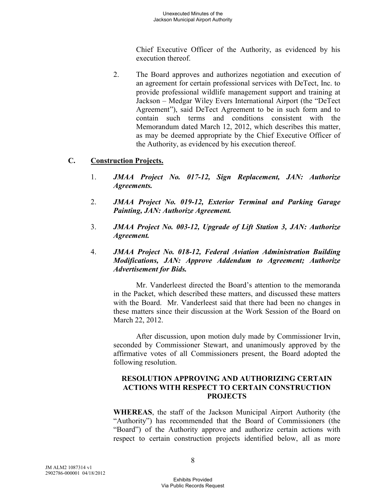Chief Executive Officer of the Authority, as evidenced by his execution thereof.

2. The Board approves and authorizes negotiation and execution of an agreement for certain professional services with DeTect, Inc. to provide professional wildlife management support and training at Jackson – Medgar Wiley Evers International Airport (the "DeTect Agreement"), said DeTect Agreement to be in such form and to contain such terms and conditions consistent with the Memorandum dated March 12, 2012, which describes this matter, as may be deemed appropriate by the Chief Executive Officer of the Authority, as evidenced by his execution thereof.

## **C. Construction Projects.**

- 1. *JMAA Project No. 017-12, Sign Replacement, JAN: Authorize Agreements.*
- 2. *JMAA Project No. 019-12, Exterior Terminal and Parking Garage Painting, JAN: Authorize Agreement.*
- 3. *JMAA Project No. 003-12, Upgrade of Lift Station 3, JAN: Authorize Agreement.*
- 4. *JMAA Project No. 018-12, Federal Aviation Administration Building Modifications, JAN: Approve Addendum to Agreement; Authorize Advertisement for Bids.*

Mr. Vanderleest directed the Board's attention to the memoranda in the Packet, which described these matters, and discussed these matters with the Board. Mr. Vanderleest said that there had been no changes in these matters since their discussion at the Work Session of the Board on March 22, 2012.

After discussion, upon motion duly made by Commissioner Irvin, seconded by Commissioner Stewart, and unanimously approved by the affirmative votes of all Commissioners present, the Board adopted the following resolution.

### **RESOLUTION APPROVING AND AUTHORIZING CERTAIN ACTIONS WITH RESPECT TO CERTAIN CONSTRUCTION PROJECTS**

**WHEREAS**, the staff of the Jackson Municipal Airport Authority (the "Authority") has recommended that the Board of Commissioners (the "Board") of the Authority approve and authorize certain actions with respect to certain construction projects identified below, all as more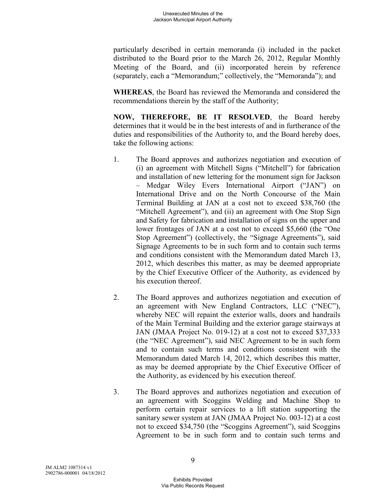particularly described in certain memoranda (i) included in the packet distributed to the Board prior to the March 26, 2012, Regular Monthly Meeting of the Board, and (ii) incorporated herein by reference (separately, each a "Memorandum;" collectively, the "Memoranda"); and

**WHEREAS**, the Board has reviewed the Memoranda and considered the recommendations therein by the staff of the Authority;

**NOW, THEREFORE, BE IT RESOLVED**, the Board hereby determines that it would be in the best interests of and in furtherance of the duties and responsibilities of the Authority to, and the Board hereby does, take the following actions:

- 1. The Board approves and authorizes negotiation and execution of (i) an agreement with Mitchell Signs ("Mitchell") for fabrication and installation of new lettering for the monument sign for Jackson – Medgar Wiley Evers International Airport ("JAN") on International Drive and on the North Concourse of the Main Terminal Building at JAN at a cost not to exceed \$38,760 (the "Mitchell Agreement"), and (ii) an agreement with One Stop Sign and Safety for fabrication and installation of signs on the upper and lower frontages of JAN at a cost not to exceed \$5,660 (the "One Stop Agreement") (collectively, the "Signage Agreements"), said Signage Agreements to be in such form and to contain such terms and conditions consistent with the Memorandum dated March 13, 2012, which describes this matter, as may be deemed appropriate by the Chief Executive Officer of the Authority, as evidenced by his execution thereof.
- 2. The Board approves and authorizes negotiation and execution of an agreement with New England Contractors, LLC ("NEC"), whereby NEC will repaint the exterior walls, doors and handrails of the Main Terminal Building and the exterior garage stairways at JAN (JMAA Project No. 019-12) at a cost not to exceed \$37,333 (the "NEC Agreement"), said NEC Agreement to be in such form and to contain such terms and conditions consistent with the Memorandum dated March 14, 2012, which describes this matter, as may be deemed appropriate by the Chief Executive Officer of the Authority, as evidenced by his execution thereof.
- 3. The Board approves and authorizes negotiation and execution of an agreement with Scoggins Welding and Machine Shop to perform certain repair services to a lift station supporting the sanitary sewer system at JAN (JMAA Project No. 003-12) at a cost not to exceed \$34,750 (the "Scoggins Agreement"), said Scoggins Agreement to be in such form and to contain such terms and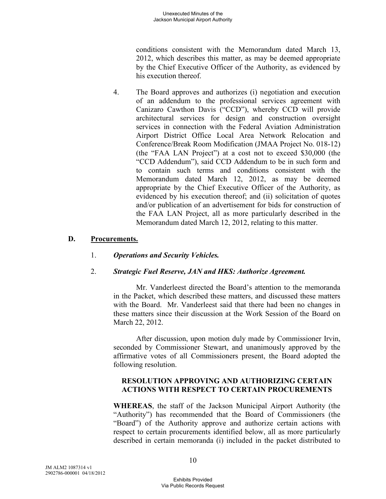conditions consistent with the Memorandum dated March 13, 2012, which describes this matter, as may be deemed appropriate by the Chief Executive Officer of the Authority, as evidenced by his execution thereof.

4. The Board approves and authorizes (i) negotiation and execution of an addendum to the professional services agreement with Canizaro Cawthon Davis ("CCD"), whereby CCD will provide architectural services for design and construction oversight services in connection with the Federal Aviation Administration Airport District Office Local Area Network Relocation and Conference/Break Room Modification (JMAA Project No. 018-12) (the "FAA LAN Project") at a cost not to exceed \$30,000 (the "CCD Addendum"), said CCD Addendum to be in such form and to contain such terms and conditions consistent with the Memorandum dated March 12, 2012, as may be deemed appropriate by the Chief Executive Officer of the Authority, as evidenced by his execution thereof; and (ii) solicitation of quotes and/or publication of an advertisement for bids for construction of the FAA LAN Project, all as more particularly described in the Memorandum dated March 12, 2012, relating to this matter.

### **D. Procurements.**

1. *Operations and Security Vehicles.* 

## 2. *Strategic Fuel Reserve, JAN and HKS: Authorize Agreement.*

Mr. Vanderleest directed the Board's attention to the memoranda in the Packet, which described these matters, and discussed these matters with the Board. Mr. Vanderleest said that there had been no changes in these matters since their discussion at the Work Session of the Board on March 22, 2012.

After discussion, upon motion duly made by Commissioner Irvin, seconded by Commissioner Stewart, and unanimously approved by the affirmative votes of all Commissioners present, the Board adopted the following resolution.

### **RESOLUTION APPROVING AND AUTHORIZING CERTAIN ACTIONS WITH RESPECT TO CERTAIN PROCUREMENTS**

**WHEREAS**, the staff of the Jackson Municipal Airport Authority (the "Authority") has recommended that the Board of Commissioners (the "Board") of the Authority approve and authorize certain actions with respect to certain procurements identified below, all as more particularly described in certain memoranda (i) included in the packet distributed to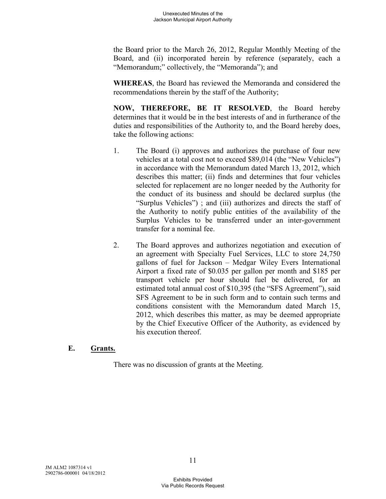the Board prior to the March 26, 2012, Regular Monthly Meeting of the Board, and (ii) incorporated herein by reference (separately, each a "Memorandum;" collectively, the "Memoranda"); and

**WHEREAS**, the Board has reviewed the Memoranda and considered the recommendations therein by the staff of the Authority;

**NOW, THEREFORE, BE IT RESOLVED**, the Board hereby determines that it would be in the best interests of and in furtherance of the duties and responsibilities of the Authority to, and the Board hereby does, take the following actions:

- 1. The Board (i) approves and authorizes the purchase of four new vehicles at a total cost not to exceed \$89,014 (the "New Vehicles") in accordance with the Memorandum dated March 13, 2012, which describes this matter; (ii) finds and determines that four vehicles selected for replacement are no longer needed by the Authority for the conduct of its business and should be declared surplus (the "Surplus Vehicles") ; and (iii) authorizes and directs the staff of the Authority to notify public entities of the availability of the Surplus Vehicles to be transferred under an inter-government transfer for a nominal fee.
- 2. The Board approves and authorizes negotiation and execution of an agreement with Specialty Fuel Services, LLC to store 24,750 gallons of fuel for Jackson – Medgar Wiley Evers International Airport a fixed rate of \$0.035 per gallon per month and \$185 per transport vehicle per hour should fuel be delivered, for an estimated total annual cost of \$10,395 (the "SFS Agreement"), said SFS Agreement to be in such form and to contain such terms and conditions consistent with the Memorandum dated March 15, 2012, which describes this matter, as may be deemed appropriate by the Chief Executive Officer of the Authority, as evidenced by his execution thereof.

## **E. Grants.**

There was no discussion of grants at the Meeting.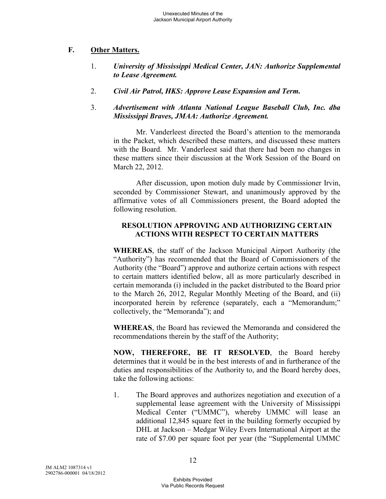# **F. Other Matters.**

- 1. *University of Mississippi Medical Center, JAN: Authorize Supplemental to Lease Agreement.*
- 2. *Civil Air Patrol, HKS: Approve Lease Expansion and Term.*
- 3. *Advertisement with Atlanta National League Baseball Club, Inc. dba Mississippi Braves, JMAA: Authorize Agreement.*

Mr. Vanderleest directed the Board's attention to the memoranda in the Packet, which described these matters, and discussed these matters with the Board. Mr. Vanderleest said that there had been no changes in these matters since their discussion at the Work Session of the Board on March 22, 2012.

After discussion, upon motion duly made by Commissioner Irvin, seconded by Commissioner Stewart, and unanimously approved by the affirmative votes of all Commissioners present, the Board adopted the following resolution.

# **RESOLUTION APPROVING AND AUTHORIZING CERTAIN ACTIONS WITH RESPECT TO CERTAIN MATTERS**

**WHEREAS**, the staff of the Jackson Municipal Airport Authority (the "Authority") has recommended that the Board of Commissioners of the Authority (the "Board") approve and authorize certain actions with respect to certain matters identified below, all as more particularly described in certain memoranda (i) included in the packet distributed to the Board prior to the March 26, 2012, Regular Monthly Meeting of the Board, and (ii) incorporated herein by reference (separately, each a "Memorandum;" collectively, the "Memoranda"); and

**WHEREAS**, the Board has reviewed the Memoranda and considered the recommendations therein by the staff of the Authority;

**NOW, THEREFORE, BE IT RESOLVED**, the Board hereby determines that it would be in the best interests of and in furtherance of the duties and responsibilities of the Authority to, and the Board hereby does, take the following actions:

1. The Board approves and authorizes negotiation and execution of a supplemental lease agreement with the University of Mississippi Medical Center ("UMMC"), whereby UMMC will lease an additional 12,845 square feet in the building formerly occupied by DHL at Jackson – Medgar Wiley Evers International Airport at the rate of \$7.00 per square foot per year (the "Supplemental UMMC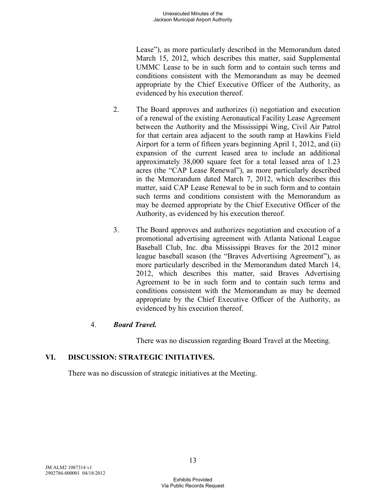Lease"), as more particularly described in the Memorandum dated March 15, 2012, which describes this matter, said Supplemental UMMC Lease to be in such form and to contain such terms and conditions consistent with the Memorandum as may be deemed appropriate by the Chief Executive Officer of the Authority, as evidenced by his execution thereof.

- 2. The Board approves and authorizes (i) negotiation and execution of a renewal of the existing Aeronautical Facility Lease Agreement between the Authority and the Mississippi Wing, Civil Air Patrol for that certain area adjacent to the south ramp at Hawkins Field Airport for a term of fifteen years beginning April 1, 2012, and (ii) expansion of the current leased area to include an additional approximately 38,000 square feet for a total leased area of 1.23 acres (the "CAP Lease Renewal"), as more particularly described in the Memorandum dated March 7, 2012, which describes this matter, said CAP Lease Renewal to be in such form and to contain such terms and conditions consistent with the Memorandum as may be deemed appropriate by the Chief Executive Officer of the Authority, as evidenced by his execution thereof.
- 3. The Board approves and authorizes negotiation and execution of a promotional advertising agreement with Atlanta National League Baseball Club, Inc. dba Mississippi Braves for the 2012 minor league baseball season (the "Braves Advertising Agreement"), as more particularly described in the Memorandum dated March 14, 2012, which describes this matter, said Braves Advertising Agreement to be in such form and to contain such terms and conditions consistent with the Memorandum as may be deemed appropriate by the Chief Executive Officer of the Authority, as evidenced by his execution thereof.

## 4. *Board Travel.*

There was no discussion regarding Board Travel at the Meeting.

# **VI. DISCUSSION: STRATEGIC INITIATIVES.**

There was no discussion of strategic initiatives at the Meeting.